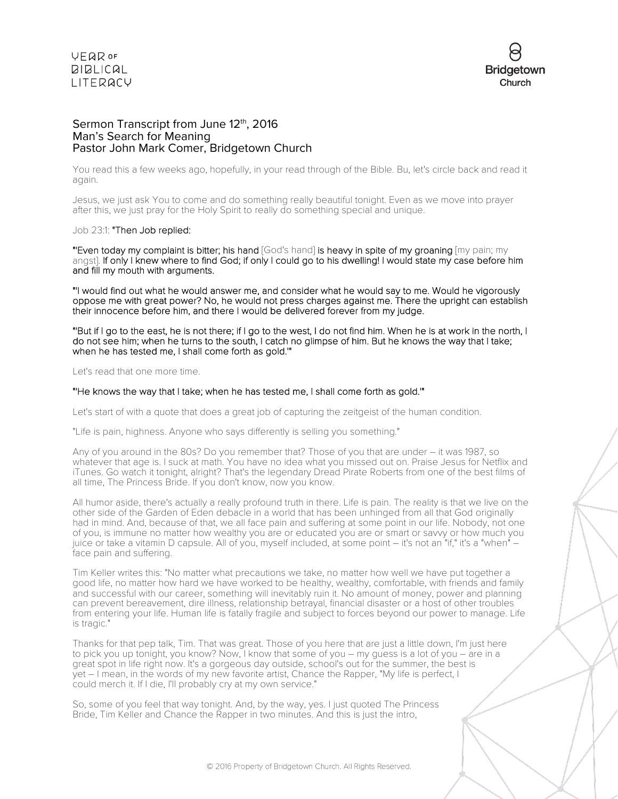

#### Sermon Transcript from June 12<sup>th</sup>, 2016 Man's Search for Meaning Pastor John Mark Comer, Bridgetown Church

You read this a few weeks ago, hopefully, in your read through of the Bible. Bu, let's circle back and read it again.

Jesus, we just ask You to come and do something really beautiful tonight. Even as we move into prayer after this, we just pray for the Holy Spirit to really do something special and unique.

#### Job 23:1: "Then Job replied:

"Even today my complaint is bitter; his hand [God's hand] is heavy in spite of my groaning [my pain; my angst]. If only I knew where to find God; if only I could go to his dwelling! I would state my case before him and fill my mouth with arguments.

"'I would find out what he would answer me, and consider what he would say to me. Would he vigorously oppose me with great power? No, he would not press charges against me. There the upright can establish their innocence before him, and there I would be delivered forever from my judge.

"'But if I go to the east, he is not there; if I go to the west, I do not find him. When he is at work in the north, I do not see him; when he turns to the south, I catch no glimpse of him. But he knows the way that I take; when he has tested me, I shall come forth as gold.'"

Let's read that one more time.

#### "'He knows the way that I take; when he has tested me, I shall come forth as gold.'"

Let's start of with a quote that does a great job of capturing the zeitgeist of the human condition.

"Life is pain, highness. Anyone who says differently is selling you something."

Any of you around in the 80s? Do you remember that? Those of you that are under – it was 1987, so whatever that age is. I suck at math. You have no idea what you missed out on. Praise Jesus for Netflix and iTunes. Go watch it tonight, alright? That's the legendary Dread Pirate Roberts from one of the best films of all time, The Princess Bride. If you don't know, now you know.

All humor aside, there's actually a really profound truth in there. Life is pain. The reality is that we live on the other side of the Garden of Eden debacle in a world that has been unhinged from all that God originally had in mind. And, because of that, we all face pain and suffering at some point in our life. Nobody, not one of you, is immune no matter how wealthy you are or educated you are or smart or savvy or how much you juice or take a vitamin D capsule. All of you, myself included, at some point – it's not an "if," it's a "when" – face pain and suffering.

Tim Keller writes this: "No matter what precautions we take, no matter how well we have put together a good life, no matter how hard we have worked to be healthy, wealthy, comfortable, with friends and family and successful with our career, something will inevitably ruin it. No amount of money, power and planning can prevent bereavement, dire illness, relationship betrayal, financial disaster or a host of other troubles from entering your life. Human life is fatally fragile and subject to forces beyond our power to manage. Life is tragic."

Thanks for that pep talk, Tim. That was great. Those of you here that are just a little down, I'm just here to pick you up tonight, you know? Now, I know that some of you – my guess is a lot of you – are in a great spot in life right now. It's a gorgeous day outside, school's out for the summer, the best is yet – I mean, in the words of my new favorite artist, Chance the Rapper, "My life is perfect, I could merch it. If I die, I'll probably cry at my own service."

So, some of you feel that way tonight. And, by the way, yes. I just quoted The Princess Bride, Tim Keller and Chance the Rapper in two minutes. And this is just the intro,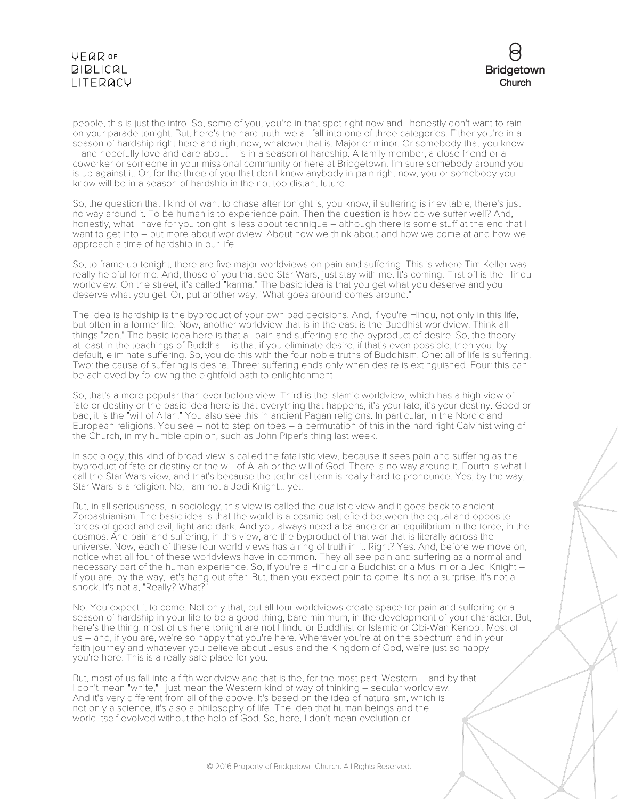

people, this is just the intro. So, some of you, you're in that spot right now and I honestly don't want to rain on your parade tonight. But, here's the hard truth: we all fall into one of three categories. Either you're in a season of hardship right here and right now, whatever that is. Major or minor. Or somebody that you know – and hopefully love and care about – is in a season of hardship. A family member, a close friend or a coworker or someone in your missional community or here at Bridgetown. I'm sure somebody around you is up against it. Or, for the three of you that don't know anybody in pain right now, you or somebody you know will be in a season of hardship in the not too distant future.

So, the question that I kind of want to chase after tonight is, you know, if suffering is inevitable, there's just no way around it. To be human is to experience pain. Then the question is how do we suffer well? And, honestly, what I have for you tonight is less about technique – although there is some stuff at the end that I want to get into – but more about worldview. About how we think about and how we come at and how we approach a time of hardship in our life.

So, to frame up tonight, there are five major worldviews on pain and suffering. This is where Tim Keller was really helpful for me. And, those of you that see Star Wars, just stay with me. It's coming. First off is the Hindu worldview. On the street, it's called "karma." The basic idea is that you get what you deserve and you deserve what you get. Or, put another way, "What goes around comes around."

The idea is hardship is the byproduct of your own bad decisions. And, if you're Hindu, not only in this life, but often in a former life. Now, another worldview that is in the east is the Buddhist worldview. Think all things "zen." The basic idea here is that all pain and suffering are the byproduct of desire. So, the theory – at least in the teachings of Buddha – is that if you eliminate desire, if that's even possible, then you, by default, eliminate suffering. So, you do this with the four noble truths of Buddhism. One: all of life is suffering. Two: the cause of suffering is desire. Three: suffering ends only when desire is extinguished. Four: this can be achieved by following the eightfold path to enlightenment.

So, that's a more popular than ever before view. Third is the Islamic worldview, which has a high view of fate or destiny or the basic idea here is that everything that happens, it's your fate; it's your destiny. Good or bad, it is the "will of Allah." You also see this in ancient Pagan religions. In particular, in the Nordic and European religions. You see – not to step on toes – a permutation of this in the hard right Calvinist wing of the Church, in my humble opinion, such as John Piper's thing last week.

In sociology, this kind of broad view is called the fatalistic view, because it sees pain and suffering as the byproduct of fate or destiny or the will of Allah or the will of God. There is no way around it. Fourth is what I call the Star Wars view, and that's because the technical term is really hard to pronounce. Yes, by the way, Star Wars is a religion. No, I am not a Jedi Knight... yet.

But, in all seriousness, in sociology, this view is called the dualistic view and it goes back to ancient Zoroastrianism. The basic idea is that the world is a cosmic battlefield between the equal and opposite forces of good and evil; light and dark. And you always need a balance or an equilibrium in the force, in the cosmos. And pain and suffering, in this view, are the byproduct of that war that is literally across the universe. Now, each of these four world views has a ring of truth in it. Right? Yes. And, before we move on, notice what all four of these worldviews have in common. They all see pain and suffering as a normal and necessary part of the human experience. So, if you're a Hindu or a Buddhist or a Muslim or a Jedi Knight – if you are, by the way, let's hang out after. But, then you expect pain to come. It's not a surprise. It's not a shock. It's not a, "Really? What?"

No. You expect it to come. Not only that, but all four worldviews create space for pain and suffering or a season of hardship in your life to be a good thing, bare minimum, in the development of your character. But, here's the thing: most of us here tonight are not Hindu or Buddhist or Islamic or Obi-Wan Kenobi. Most of us – and, if you are, we're so happy that you're here. Wherever you're at on the spectrum and in your faith journey and whatever you believe about Jesus and the Kingdom of God, we're just so happy you're here. This is a really safe place for you.

But, most of us fall into a fifth worldview and that is the, for the most part, Western – and by that I don't mean "white," I just mean the Western kind of way of thinking - secular worldview. And it's very different from all of the above. It's based on the idea of naturalism, which is not only a science, it's also a philosophy of life. The idea that human beings and the world itself evolved without the help of God. So, here, I don't mean evolution or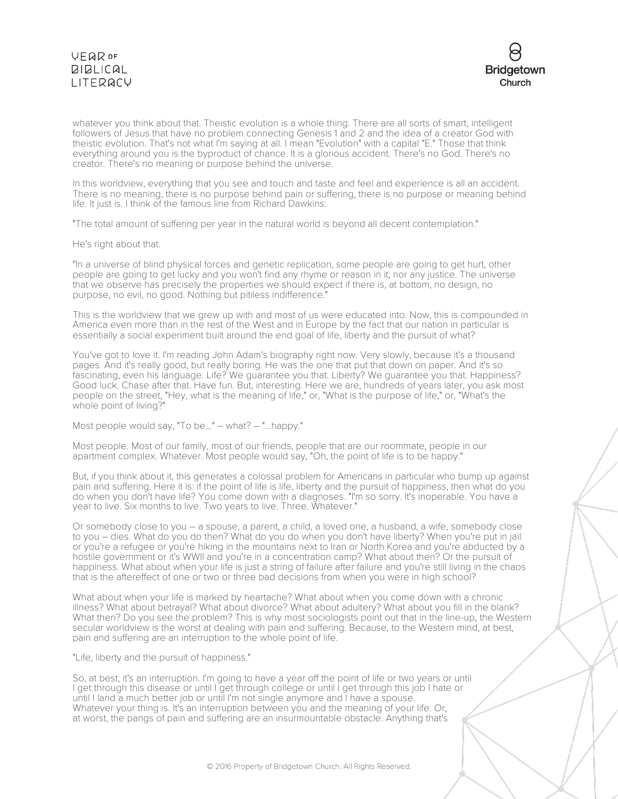

whatever you think about that. Theistic evolution is a whole thing. There are all sorts of smart, intelligent followers of Jesus that have no problem connecting Genesis 1 and 2 and the idea of a creator God with theistic evolution. That's not what I'm saying at all. I mean "Evolution" with a capital "E." Those that think everything around you is the byproduct of chance. It is a glorious accident. There's no God. There's no creator. There's no meaning or purpose behind the universe.

In this worldview, everything that you see and touch and taste and feel and experience is all an accident. There is no meaning, there is no purpose behind pain or suffering, there is no purpose or meaning behind life. It just is. I think of the famous line from Richard Dawkins:

"The total amount of suffering per year in the natural world is beyond all decent contemplation."

He's right about that.

"In a universe of blind physical forces and genetic replication, some people are going to get hurt, other people are going to get lucky and you won't find any rhyme or reason in it; nor any justice. The universe that we observe has precisely the properties we should expect if there is, at bottom, no design, no purpose, no evil, no good. Nothing but pitiless indifference."

This is the worldview that we grew up with and most of us were educated into. Now, this is compounded in America even more than in the rest of the West and in Europe by the fact that our nation in particular is essentially a social experiment built around the end goal of life, liberty and the pursuit of what?

You've got to love it. I'm reading John Adam's biography right now. Very slowly, because it's a thousand pages. And it's really good, but really boring. He was the one that put that down on paper. And it's so fascinating, even his language. Life? We guarantee you that. Liberty? We guarantee you that. Happiness? Good luck. Chase after that. Have fun. But, interesting. Here we are, hundreds of years later, you ask most people on the street, "Hey, what is the meaning of life," or, "What is the purpose of life," or, "What's the whole point of living?"

Most people would say, "To be..." – what? – "...happy."

Most people. Most of our family, most of our friends, people that are our roommate, people in our apartment complex. Whatever. Most people would say, "Oh, the point of life is to be happy."

But, if you think about it, this generates a colossal problem for Americans in particular who bump up against pain and suffering. Here it is: if the point of life is life, liberty and the pursuit of happiness, then what do you do when you don't have life? You come down with a diagnoses. "I'm so sorry. It's inoperable. You have a year to live. Six months to live. Two years to live. Three. Whatever."

Or somebody close to you – a spouse, a parent, a child, a loved one, a husband, a wife, somebody close to you – dies. What do you do then? What do you do when you don't have liberty? When you're put in jail or you're a refugee or you're hiking in the mountains next to Iran or North Korea and you're abducted by a hostile government or it's WWII and you're in a concentration camp? What about then? Or the pursuit of happiness. What about when your life is just a string of failure after failure and you're still living in the chaos that is the aftereffect of one or two or three bad decisions from when you were in high school?

What about when your life is marked by heartache? What about when you come down with a chronic illness? What about betrayal? What about divorce? What about adultery? What about you fill in the blank? What then? Do you see the problem? This is why most sociologists point out that in the line-up, the Western secular worldview is the worst at dealing with pain and suffering. Because, to the Western mind, at best, pain and suffering are an interruption to the whole point of life.

"Life, liberty and the pursuit of happiness."

So, at best, it's an interruption. I'm going to have a year off the point of life or two years or until I get through this disease or until I get through college or until I get through this job I hate or until I land a much better job or until I'm not single anymore and I have a spouse. Whatever your thing is. It's an interruption between you and the meaning of your life. Or, at worst, the pangs of pain and suffering are an insurmountable obstacle. Anything that's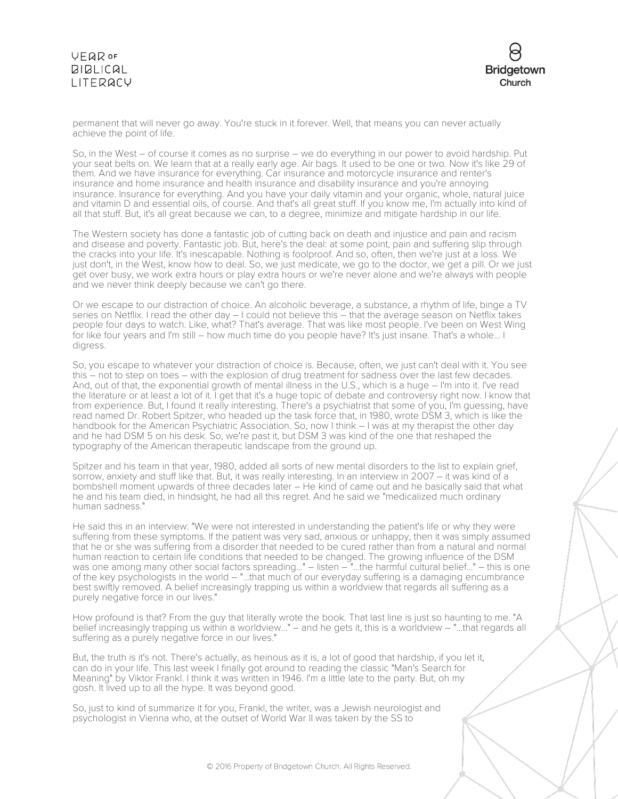

permanent that will never go away. You're stuck in it forever. Well, that means you can never actually achieve the point of life.

So, in the West – of course it comes as no surprise – we do everything in our power to avoid hardship. Put your seat belts on. We learn that at a really early age. Air bags. It used to be one or two. Now it's like 29 of them. And we have insurance for everything. Car insurance and motorcycle insurance and renter's insurance and home insurance and health insurance and disability insurance and you're annoying insurance. Insurance for everything. And you have your daily vitamin and your organic, whole, natural juice and vitamin D and essential oils, of course. And that's all great stuff. If you know me, I'm actually into kind of all that stuff. But, it's all great because we can, to a degree, minimize and mitigate hardship in our life.

The Western society has done a fantastic job of cutting back on death and injustice and pain and racism and disease and poverty. Fantastic job. But, here's the deal: at some point, pain and suffering slip through the cracks into your life. It's inescapable. Nothing is foolproof. And so, often, then we're just at a loss. We just don't, in the West, know how to deal. So, we just medicate, we go to the doctor, we get a pill. Or we just get over busy, we work extra hours or play extra hours or we're never alone and we're always with people and we never think deeply because we can't go there.

Or we escape to our distraction of choice. An alcoholic beverage, a substance, a rhythm of life, binge a TV series on Netflix. I read the other day – I could not believe this – that the average season on Netflix takes people four days to watch. Like, what? That's average. That was like most people. I've been on West Wing for like four years and I'm still – how much time do you people have? It's just insane. That's a whole... I digress.

So, you escape to whatever your distraction of choice is. Because, often, we just can't deal with it. You see this – not to step on toes – with the explosion of drug treatment for sadness over the last few decades. And, out of that, the exponential growth of mental illness in the U.S., which is a huge – I'm into it. I've read the literature or at least a lot of it. I get that it's a huge topic of debate and controversy right now. I know that from experience. But, I found it really interesting. There's a psychiatrist that some of you, I'm guessing, have read named Dr. Robert Spitzer, who headed up the task force that, in 1980, wrote DSM 3, which is like the handbook for the American Psychiatric Association. So, now I think – I was at my therapist the other day and he had DSM 5 on his desk. So, we're past it, but DSM 3 was kind of the one that reshaped the typography of the American therapeutic landscape from the ground up.

Spitzer and his team in that year, 1980, added all sorts of new mental disorders to the list to explain grief, sorrow, anxiety and stuff like that. But, it was really interesting. In an interview in 2007 – it was kind of a bombshell moment upwards of three decades later – He kind of came out and he basically said that what he and his team died, in hindsight, he had all this regret. And he said we "medicalized much ordinary human sadness."

He said this in an interview: "We were not interested in understanding the patient's life or why they were suffering from these symptoms. If the patient was very sad, anxious or unhappy, then it was simply assumed that he or she was suffering from a disorder that needed to be cured rather than from a natural and normal human reaction to certain life conditions that needed to be changed. The growing influence of the DSM was one among many other social factors spreading..." – listen – "...the harmful cultural belief..." – this is one of the key psychologists in the world – "...that much of our everyday suffering is a damaging encumbrance best swiftly removed. A belief increasingly trapping us within a worldview that regards all suffering as a purely negative force in our lives."

How profound is that? From the guy that literally wrote the book. That last line is just so haunting to me. "A belief increasingly trapping us within a worldview..." – and he gets it, this is a worldview – "...that regards all suffering as a purely negative force in our lives."

But, the truth is it's not. There's actually, as heinous as it is, a lot of good that hardship, if you let it, can do in your life. This last week I finally got around to reading the classic "Man's Search for Meaning" by Viktor Frankl. I think it was written in 1946. I'm a little late to the party. But, oh my gosh. It lived up to all the hype. It was beyond good.

So, just to kind of summarize it for you, Frankl, the writer, was a Jewish neurologist and psychologist in Vienna who, at the outset of World War II was taken by the SS to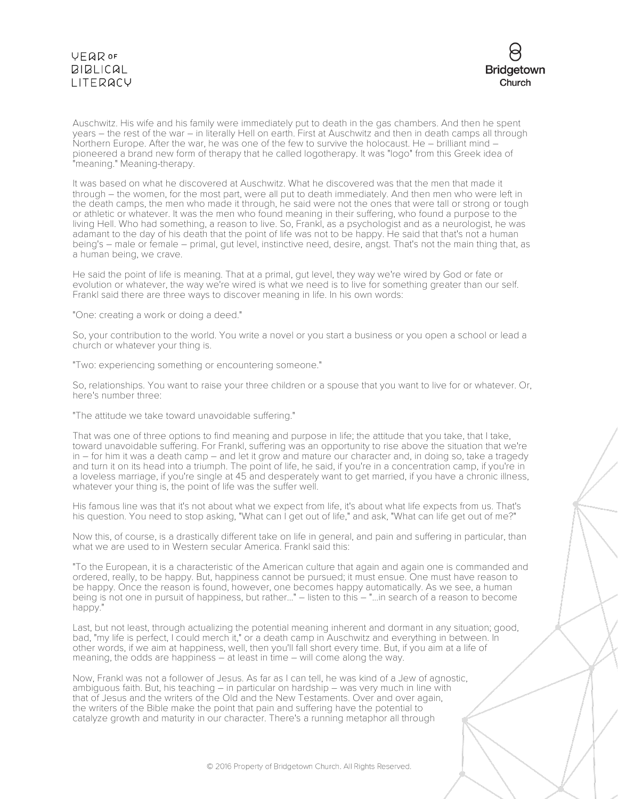

Auschwitz. His wife and his family were immediately put to death in the gas chambers. And then he spent years – the rest of the war – in literally Hell on earth. First at Auschwitz and then in death camps all through Northern Europe. After the war, he was one of the few to survive the holocaust. He – brilliant mind – pioneered a brand new form of therapy that he called logotherapy. It was "logo" from this Greek idea of "meaning." Meaning-therapy.

It was based on what he discovered at Auschwitz. What he discovered was that the men that made it through – the women, for the most part, were all put to death immediately. And then men who were left in the death camps, the men who made it through, he said were not the ones that were tall or strong or tough or athletic or whatever. It was the men who found meaning in their suffering, who found a purpose to the living Hell. Who had something, a reason to live. So, Frankl, as a psychologist and as a neurologist, he was adamant to the day of his death that the point of life was not to be happy. He said that that's not a human being's – male or female – primal, gut level, instinctive need, desire, angst. That's not the main thing that, as a human being, we crave.

He said the point of life is meaning. That at a primal, gut level, they way we're wired by God or fate or evolution or whatever, the way we're wired is what we need is to live for something greater than our self. Frankl said there are three ways to discover meaning in life. In his own words:

"One: creating a work or doing a deed."

So, your contribution to the world. You write a novel or you start a business or you open a school or lead a church or whatever your thing is.

"Two: experiencing something or encountering someone."

So, relationships. You want to raise your three children or a spouse that you want to live for or whatever. Or, here's number three:

"The attitude we take toward unavoidable suffering."

That was one of three options to find meaning and purpose in life; the attitude that you take, that I take, toward unavoidable suffering. For Frankl, suffering was an opportunity to rise above the situation that we're in – for him it was a death camp – and let it grow and mature our character and, in doing so, take a tragedy and turn it on its head into a triumph. The point of life, he said, if you're in a concentration camp, if you're in a loveless marriage, if you're single at 45 and desperately want to get married, if you have a chronic illness, whatever your thing is, the point of life was the suffer well.

His famous line was that it's not about what we expect from life, it's about what life expects from us. That's his question. You need to stop asking, "What can I get out of life," and ask, "What can life get out of me?"

Now this, of course, is a drastically different take on life in general, and pain and suffering in particular, than what we are used to in Western secular America. Frankl said this:

"To the European, it is a characteristic of the American culture that again and again one is commanded and ordered, really, to be happy. But, happiness cannot be pursued; it must ensue. One must have reason to be happy. Once the reason is found, however, one becomes happy automatically. As we see, a human being is not one in pursuit of happiness, but rather..." – listen to this – "...in search of a reason to become happy."

Last, but not least, through actualizing the potential meaning inherent and dormant in any situation; good, bad, "my life is perfect, I could merch it," or a death camp in Auschwitz and everything in between. In other words, if we aim at happiness, well, then you'll fall short every time. But, if you aim at a life of meaning, the odds are happiness – at least in time – will come along the way.

Now, Frankl was not a follower of Jesus. As far as I can tell, he was kind of a Jew of agnostic, ambiguous faith. But, his teaching – in particular on hardship – was very much in line with that of Jesus and the writers of the Old and the New Testaments. Over and over again, the writers of the Bible make the point that pain and suffering have the potential to catalyze growth and maturity in our character. There's a running metaphor all through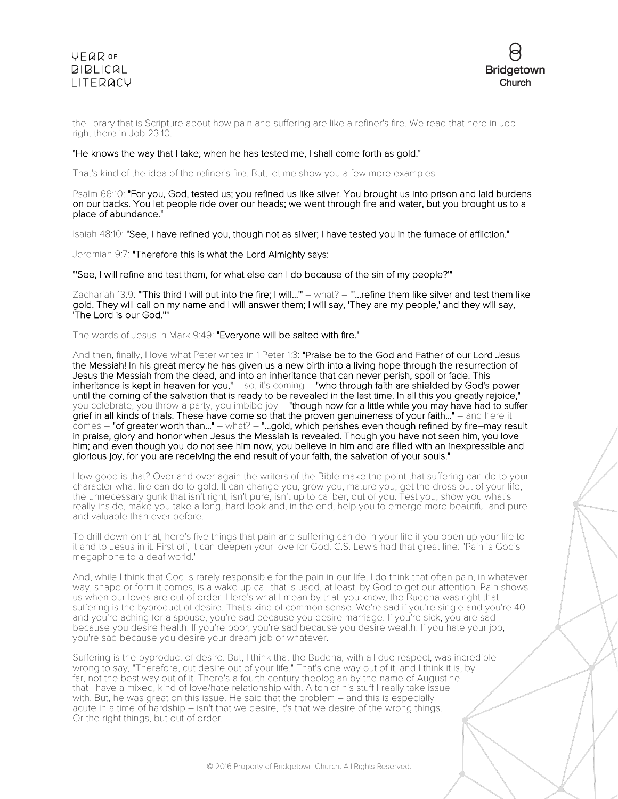

the library that is Scripture about how pain and suffering are like a refiner's fire. We read that here in Job right there in Job 23:10.

#### "He knows the way that I take; when he has tested me, I shall come forth as gold."

That's kind of the idea of the refiner's fire. But, let me show you a few more examples.

Psalm 66:10: "For you, God, tested us; you refined us like silver. You brought us into prison and laid burdens on our backs. You let people ride over our heads; we went through fire and water, but you brought us to a place of abundance."

Isaiah 48:10: "See, I have refined you, though not as silver; I have tested you in the furnace of affliction."

Jeremiah 9:7: "Therefore this is what the Lord Almighty says:

"'See, I will refine and test them, for what else can I do because of the sin of my people?'"

Zachariah 13:9: "This third I will put into the fire; I will..." - what? - "...refine them like silver and test them like gold. They will call on my name and I will answer them; I will say, 'They are my people,' and they will say, 'The Lord is our God.''"

The words of Jesus in Mark 9:49: "Everyone will be salted with fire."

And then, finally, I love what Peter writes in 1 Peter 1:3: "Praise be to the God and Father of our Lord Jesus the Messiah! In his great mercy he has given us a new birth into a living hope through the resurrection of Jesus the Messiah from the dead, and into an inheritance that can never perish, spoil or fade. This inheritance is kept in heaven for you," – so, it's coming – "who through faith are shielded by God's power until the coming of the salvation that is ready to be revealed in the last time. In all this you greatly rejoice," – you celebrate, you throw a party, you imbibe joy - "though now for a little while you may have had to suffer grief in all kinds of trials. These have come so that the proven genuineness of your faith..." – and here it comes – "of greater worth than..." – what? – "...gold, which perishes even though refined by fire–may result in praise, glory and honor when Jesus the Messiah is revealed. Though you have not seen him, you love him; and even though you do not see him now, you believe in him and are filled with an inexpressible and glorious joy, for you are receiving the end result of your faith, the salvation of your souls."

How good is that? Over and over again the writers of the Bible make the point that suffering can do to your character what fire can do to gold. It can change you, grow you, mature you, get the dross out of your life, the unnecessary gunk that isn't right, isn't pure, isn't up to caliber, out of you. Test you, show you what's really inside, make you take a long, hard look and, in the end, help you to emerge more beautiful and pure and valuable than ever before.

To drill down on that, here's five things that pain and suffering can do in your life if you open up your life to it and to Jesus in it. First off, it can deepen your love for God. C.S. Lewis had that great line: "Pain is God's megaphone to a deaf world."

And, while I think that God is rarely responsible for the pain in our life, I do think that often pain, in whatever way, shape or form it comes, is a wake up call that is used, at least, by God to get our attention. Pain shows us when our loves are out of order. Here's what I mean by that: you know, the Buddha was right that suffering is the byproduct of desire. That's kind of common sense. We're sad if you're single and you're 40 and you're aching for a spouse, you're sad because you desire marriage. If you're sick, you are sad because you desire health. If you're poor, you're sad because you desire wealth. If you hate your job, you're sad because you desire your dream job or whatever.

Suffering is the byproduct of desire. But, I think that the Buddha, with all due respect, was incredible wrong to say, "Therefore, cut desire out of your life." That's one way out of it, and I think it is, by far, not the best way out of it. There's a fourth century theologian by the name of Augustine that I have a mixed, kind of love/hate relationship with. A ton of his stuff I really take issue with. But, he was great on this issue. He said that the problem – and this is especially acute in <sup>a</sup> time of hardship – isn't that we desire, it's that we desire of the wrong things. Or the right things, but out of order.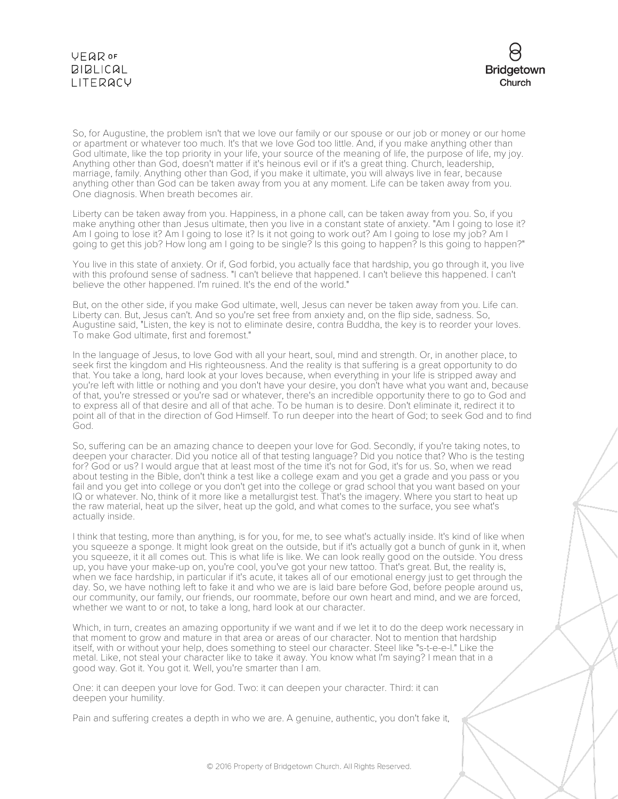

So, for Augustine, the problem isn't that we love our family or our spouse or our job or money or our home or apartment or whatever too much. It's that we love God too little. And, if you make anything other than God ultimate, like the top priority in your life, your source of the meaning of life, the purpose of life, my joy. Anything other than God, doesn't matter if it's heinous evil or if it's a great thing. Church, leadership, marriage, family. Anything other than God, if you make it ultimate, you will always live in fear, because anything other than God can be taken away from you at any moment. Life can be taken away from you. One diagnosis. When breath becomes air.

Liberty can be taken away from you. Happiness, in a phone call, can be taken away from you. So, if you make anything other than Jesus ultimate, then you live in a constant state of anxiety. "Am I going to lose it? Am I going to lose it? Am I going to lose it? Is it not going to work out? Am I going to lose my job? Am I going to get this job? How long am I going to be single? Is this going to happen? Is this going to happen?"

You live in this state of anxiety. Or if, God forbid, you actually face that hardship, you go through it, you live with this profound sense of sadness. "I can't believe that happened. I can't believe this happened. I can't believe the other happened. I'm ruined. It's the end of the world."

But, on the other side, if you make God ultimate, well, Jesus can never be taken away from you. Life can. Liberty can. But, Jesus can't. And so you're set free from anxiety and, on the flip side, sadness. So, Augustine said, "Listen, the key is not to eliminate desire, contra Buddha, the key is to reorder your loves. To make God ultimate, first and foremost."

In the language of Jesus, to love God with all your heart, soul, mind and strength. Or, in another place, to seek first the kingdom and His righteousness. And the reality is that suffering is a great opportunity to do that. You take a long, hard look at your loves because, when everything in your life is stripped away and you're left with little or nothing and you don't have your desire, you don't have what you want and, because of that, you're stressed or you're sad or whatever, there's an incredible opportunity there to go to God and to express all of that desire and all of that ache. To be human is to desire. Don't eliminate it, redirect it to point all of that in the direction of God Himself. To run deeper into the heart of God; to seek God and to find God.

So, suffering can be an amazing chance to deepen your love for God. Secondly, if you're taking notes, to deepen your character. Did you notice all of that testing language? Did you notice that? Who is the testing for? God or us? I would argue that at least most of the time it's not for God, it's for us. So, when we read about testing in the Bible, don't think a test like a college exam and you get a grade and you pass or you fail and you get into college or you don't get into the college or grad school that you want based on your IQ or whatever. No, think of it more like a metallurgist test. That's the imagery. Where you start to heat up the raw material, heat up the silver, heat up the gold, and what comes to the surface, you see what's actually inside.

I think that testing, more than anything, is for you, for me, to see what's actually inside. It's kind of like when you squeeze a sponge. It might look great on the outside, but if it's actually got a bunch of gunk in it, when you squeeze, it it all comes out. This is what life is like. We can look really good on the outside. You dress up, you have your make-up on, you're cool, you've got your new tattoo. That's great. But, the reality is, when we face hardship, in particular if it's acute, it takes all of our emotional energy just to get through the day. So, we have nothing left to fake it and who we are is laid bare before God, before people around us, our community, our family, our friends, our roommate, before our own heart and mind, and we are forced, whether we want to or not, to take a long, hard look at our character.

Which, in turn, creates an amazing opportunity if we want and if we let it to do the deep work necessary in that moment to grow and mature in that area or areas of our character. Not to mention that hardship itself, with or without your help, does something to steel our character. Steel like "s-t-e-e-l." Like the metal. Like, not steal your character like to take it away. You know what I'm saying? I mean that in a good way. Got it. You got it. Well, you're smarter than I am.

One: it can deepen your love for God. Two: it can deepen your character. Third: it can deepen your humility.

Pain and suffering creates a depth in who we are. A genuine, authentic, you don't fake it,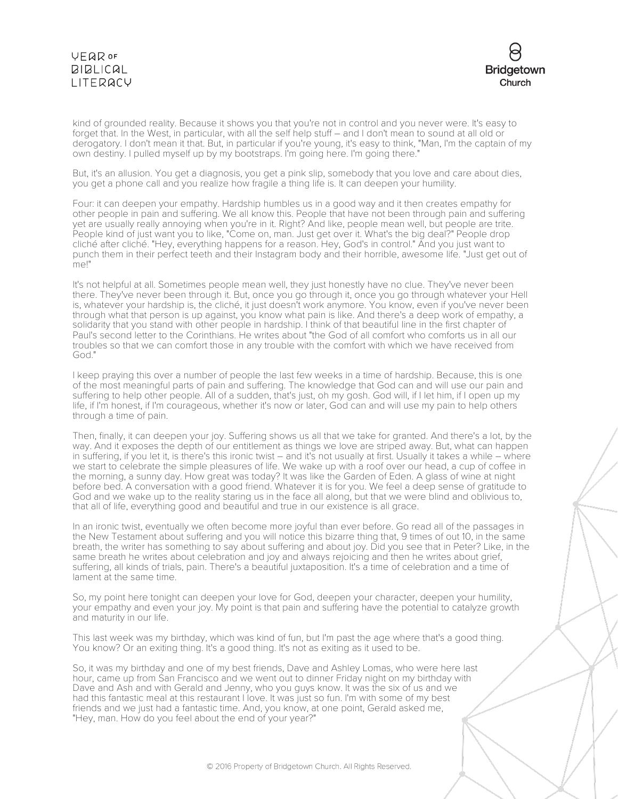

kind of grounded reality. Because it shows you that you're not in control and you never were. It's easy to forget that. In the West, in particular, with all the self help stuff – and I don't mean to sound at all old or derogatory. I don't mean it that. But, in particular if you're young, it's easy to think, "Man, I'm the captain of my own destiny. I pulled myself up by my bootstraps. I'm going here. I'm going there.

But, it's an allusion. You get a diagnosis, you get a pink slip, somebody that you love and care about dies, you get a phone call and you realize how fragile a thing life is. It can deepen your humility.

Four: it can deepen your empathy. Hardship humbles us in a good way and it then creates empathy for other people in pain and suffering. We all know this. People that have not been through pain and suffering yet are usually really annoying when you're in it. Right? And like, people mean well, but people are trite. People kind of just want you to like, "Come on, man. Just get over it. What's the big deal?" People drop cliché after cliché. "Hey, everything happens for a reason. Hey, God's in control." And you just want to punch them in their perfect teeth and their Instagram body and their horrible, awesome life. "Just get out of me!"

It's not helpful at all. Sometimes people mean well, they just honestly have no clue. They've never been there. They've never been through it. But, once you go through it, once you go through whatever your Hell is, whatever your hardship is, the cliché, it just doesn't work anymore. You know, even if you've never been through what that person is up against, you know what pain is like. And there's a deep work of empathy, a solidarity that you stand with other people in hardship. I think of that beautiful line in the first chapter of Paul's second letter to the Corinthians. He writes about "the God of all comfort who comforts us in all our troubles so that we can comfort those in any trouble with the comfort with which we have received from God."

I keep praying this over a number of people the last few weeks in a time of hardship. Because, this is one of the most meaningful parts of pain and suffering. The knowledge that God can and will use our pain and suffering to help other people. All of a sudden, that's just, oh my gosh. God will, if I let him, if I open up my life, if I'm honest, if I'm courageous, whether it's now or later, God can and will use my pain to help others through a time of pain.

Then, finally, it can deepen your joy. Suffering shows us all that we take for granted. And there's a lot, by the way. And it exposes the depth of our entitlement as things we love are striped away. But, what can happen in suffering, if you let it, is there's this ironic twist – and it's not usually at first. Usually it takes a while – where we start to celebrate the simple pleasures of life. We wake up with a roof over our head, a cup of coffee in the morning, a sunny day. How great was today? It was like the Garden of Eden. A glass of wine at night before bed. A conversation with a good friend. Whatever it is for you. We feel a deep sense of gratitude to God and we wake up to the reality staring us in the face all along, but that we were blind and oblivious to, that all of life, everything good and beautiful and true in our existence is all grace.

In an ironic twist, eventually we often become more joyful than ever before. Go read all of the passages in the New Testament about suffering and you will notice this bizarre thing that, 9 times of out 10, in the same breath, the writer has something to say about suffering and about joy. Did you see that in Peter? Like, in the same breath he writes about celebration and joy and always rejoicing and then he writes about grief, suffering, all kinds of trials, pain. There's a beautiful juxtaposition. It's a time of celebration and a time of lament at the same time.

So, my point here tonight can deepen your love for God, deepen your character, deepen your humility, your empathy and even your joy. My point is that pain and suffering have the potential to catalyze growth and maturity in our life.

This last week was my birthday, which was kind of fun, but I'm past the age where that's a good thing. You know? Or an exiting thing. It's a good thing. It's not as exiting as it used to be.

So, it was my birthday and one of my best friends, Dave and Ashley Lomas, who were here last hour, came up from San Francisco and we went out to dinner Friday night on my birthday with Dave and Ash and with Gerald and Jenny, who you guys know. It was the six of us and we had this fantastic meal at this restaurant I love. It was just so fun. I'm with some of my best friends and we just had a fantastic time. And, you know, at one point, Gerald asked me, "Hey, man. How do you feel about the end of your year?"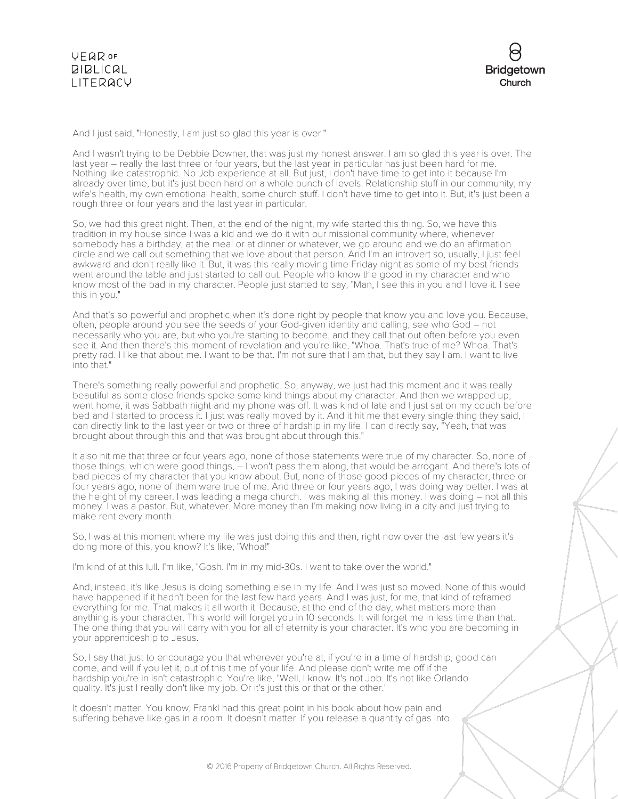

And I just said, "Honestly, I am just so glad this year is over."

And I wasn't trying to be Debbie Downer, that was just my honest answer. I am so glad this year is over. The last year – really the last three or four years, but the last year in particular has just been hard for me. Nothing like catastrophic. No Job experience at all. But just, I don't have time to get into it because I'm already over time, but it's just been hard on a whole bunch of levels. Relationship stuff in our community, my wife's health, my own emotional health, some church stuff. I don't have time to get into it. But, it's just been a rough three or four years and the last year in particular.

So, we had this great night. Then, at the end of the night, my wife started this thing. So, we have this tradition in my house since I was a kid and we do it with our missional community where, whenever somebody has a birthday, at the meal or at dinner or whatever, we go around and we do an affirmation circle and we call out something that we love about that person. And I'm an introvert so, usually, I just feel awkward and don't really like it. But, it was this really moving time Friday night as some of my best friends went around the table and just started to call out. People who know the good in my character and who know most of the bad in my character. People just started to say, "Man, I see this in you and I love it. I see this in you."

And that's so powerful and prophetic when it's done right by people that know you and love you. Because, often, people around you see the seeds of your God-given identity and calling, see who God – not necessarily who you are, but who you're starting to become, and they call that out often before you even see it. And then there's this moment of revelation and you're like, "Whoa. That's true of me? Whoa. That's pretty rad. I like that about me. I want to be that. I'm not sure that I am that, but they say I am. I want to live into that."

There's something really powerful and prophetic. So, anyway, we just had this moment and it was really beautiful as some close friends spoke some kind things about my character. And then we wrapped up, went home, it was Sabbath night and my phone was off. It was kind of late and I just sat on my couch before bed and I started to process it. I just was really moved by it. And it hit me that every single thing they said, I can directly link to the last year or two or three of hardship in my life. I can directly say, "Yeah, that was brought about through this and that was brought about through this."

It also hit me that three or four years ago, none of those statements were true of my character. So, none of those things, which were good things, – I won't pass them along, that would be arrogant. And there's lots of bad pieces of my character that you know about. But, none of those good pieces of my character, three or four years ago, none of them were true of me. And three or four years ago, I was doing way better. I was at the height of my career. I was leading a mega church. I was making all this money. I was doing – not all this money. I was a pastor. But, whatever. More money than I'm making now living in a city and just trying to make rent every month.

So, I was at this moment where my life was just doing this and then, right now over the last few years it's doing more of this, you know? It's like, "Whoa!"

I'm kind of at this lull. I'm like, "Gosh. I'm in my mid-30s. I want to take over the world."

And, instead, it's like Jesus is doing something else in my life. And I was just so moved. None of this would have happened if it hadn't been for the last few hard years. And I was just, for me, that kind of reframed everything for me. That makes it all worth it. Because, at the end of the day, what matters more than anything is your character. This world will forget you in 10 seconds. It will forget me in less time than that. The one thing that you will carry with you for all of eternity is your character. It's who you are becoming in your apprenticeship to Jesus.

So, I say that just to encourage you that wherever you're at, if you're in a time of hardship, good can come, and will if you let it, out of this time of your life. And please don't write me off if the hardship you're in isn't catastrophic. You're like, "Well, I know. It's not Job. It's not like Orlando quality. It's just I really don't like my job. Or it's just this or that or the other."

It doesn't matter. You know, Frankl had this great point in his book about how pain and suffering behave like gas in a room. It doesn't matter. If you release a quantity of gas into